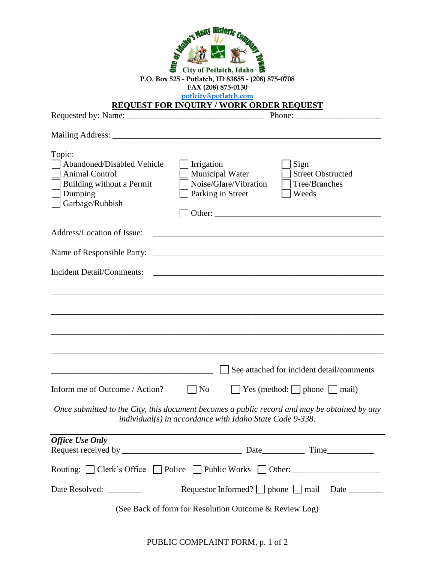| <b>Many History</b><br><b>City of Potlatch, Idaho</b><br>P.O. Box 525 - Potlatch, ID 83855 - (208) 875-0708<br>FAX (208) 875-0130<br>potlcity@potlatch.com<br><b>REQUEST FOR INQUIRY / WORK ORDER REQUEST</b> |                                                                                                                                                                                                                                                                                                                                                                                                                                                   |  |
|---------------------------------------------------------------------------------------------------------------------------------------------------------------------------------------------------------------|---------------------------------------------------------------------------------------------------------------------------------------------------------------------------------------------------------------------------------------------------------------------------------------------------------------------------------------------------------------------------------------------------------------------------------------------------|--|
|                                                                                                                                                                                                               | Phone: $\frac{1}{\sqrt{1-\frac{1}{2}} \cdot \frac{1}{2} \cdot \frac{1}{2} \cdot \frac{1}{2} \cdot \frac{1}{2} \cdot \frac{1}{2} \cdot \frac{1}{2} \cdot \frac{1}{2} \cdot \frac{1}{2} \cdot \frac{1}{2} \cdot \frac{1}{2} \cdot \frac{1}{2} \cdot \frac{1}{2} \cdot \frac{1}{2} \cdot \frac{1}{2} \cdot \frac{1}{2} \cdot \frac{1}{2} \cdot \frac{1}{2} \cdot \frac{1}{2} \cdot \frac{1}{2} \cdot \frac{1}{2} \cdot \frac{1}{2} \cdot \frac{1}{2$ |  |
|                                                                                                                                                                                                               |                                                                                                                                                                                                                                                                                                                                                                                                                                                   |  |
| Topic:<br>Abandoned/Disabled Vehicle<br><b>Animal Control</b><br>Building without a Permit<br>Dumping<br>Garbage/Rubbish                                                                                      | Irrigation<br>Sign<br>Municipal Water<br><b>Street Obstructed</b><br>Noise/Glare/Vibration<br>Tree/Branches<br>Parking in Street<br>Weeds<br>Other: the contract of the contract of the contract of the contract of the contract of the contract of the contract of the contract of the contract of the contract of the contract of the contract of the contract of the con                                                                       |  |
| Address/Location of Issue:                                                                                                                                                                                    | <u> 1989 - Johann Stoff, amerikansk politiker (* 1908)</u>                                                                                                                                                                                                                                                                                                                                                                                        |  |
| Name of Responsible Party:                                                                                                                                                                                    |                                                                                                                                                                                                                                                                                                                                                                                                                                                   |  |
| <b>Incident Detail/Comments:</b>                                                                                                                                                                              |                                                                                                                                                                                                                                                                                                                                                                                                                                                   |  |
|                                                                                                                                                                                                               | See attached for incident detail/comments                                                                                                                                                                                                                                                                                                                                                                                                         |  |
| Inform me of Outcome / Action?                                                                                                                                                                                | $\Box$ Yes (method: $\Box$ phone $\Box$ mail)<br>$ $ No                                                                                                                                                                                                                                                                                                                                                                                           |  |
| Once submitted to the City, this document becomes a public record and may be obtained by any<br>individual(s) in accordance with Idaho State Code 9-338.                                                      |                                                                                                                                                                                                                                                                                                                                                                                                                                                   |  |
| <b>Office Use Only</b>                                                                                                                                                                                        |                                                                                                                                                                                                                                                                                                                                                                                                                                                   |  |
|                                                                                                                                                                                                               |                                                                                                                                                                                                                                                                                                                                                                                                                                                   |  |
|                                                                                                                                                                                                               | Routing:     Clerk's Office     Police     Public Works     Other:                                                                                                                                                                                                                                                                                                                                                                                |  |
| Date Resolved: _________                                                                                                                                                                                      |                                                                                                                                                                                                                                                                                                                                                                                                                                                   |  |
|                                                                                                                                                                                                               | (See Back of form for Resolution Outcome & Review Log)                                                                                                                                                                                                                                                                                                                                                                                            |  |

PUBLIC COMPLAINT FORM, p. 1 of 2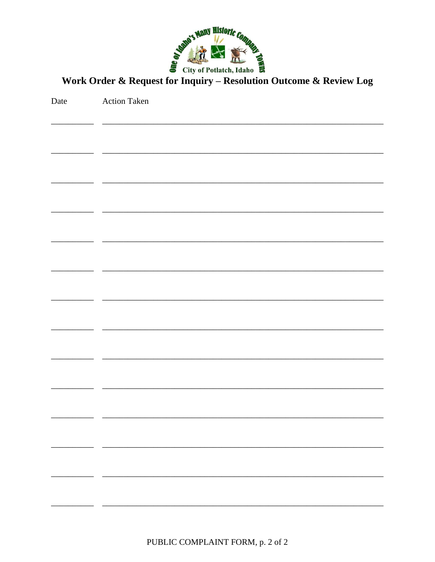

Work Order & Request for Inquiry - Resolution Outcome & Review Log

| Date | <b>Action Taken</b> |
|------|---------------------|
|      |                     |
|      |                     |
|      |                     |
|      |                     |
|      |                     |
|      |                     |
|      |                     |
|      |                     |
|      |                     |
|      |                     |
|      |                     |
|      |                     |
|      |                     |
|      |                     |